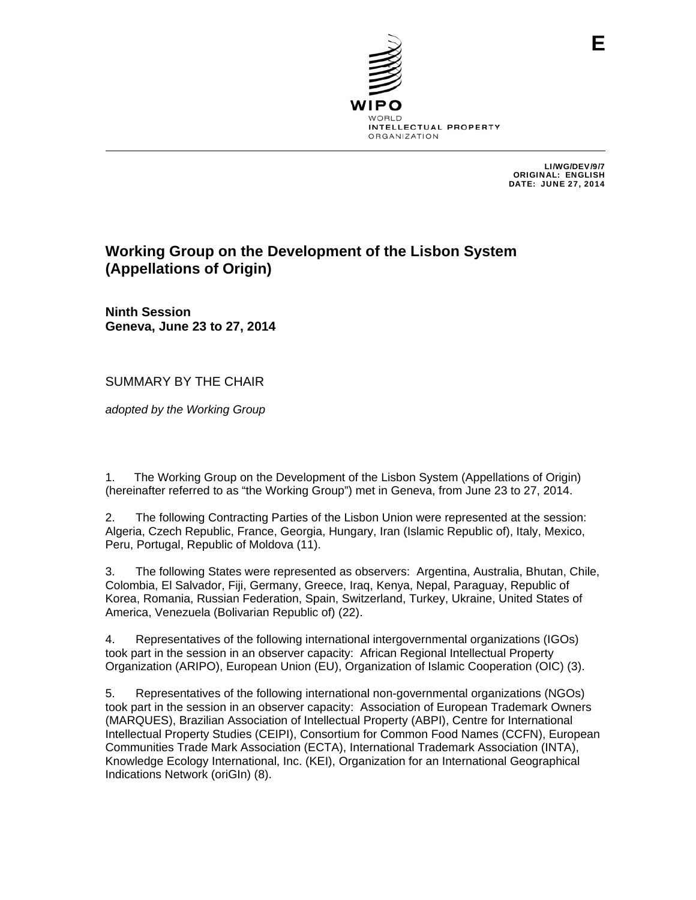

LI/WG/DEV/9/7 ORIGINAL: ENGLISH DATE: JUNE 27, 2014

# **Working Group on the Development of the Lisbon System (Appellations of Origin)**

**Ninth Session Geneva, June 23 to 27, 2014** 

SUMMARY BY THE CHAIR

*adopted by the Working Group*

1. The Working Group on the Development of the Lisbon System (Appellations of Origin) (hereinafter referred to as "the Working Group") met in Geneva, from June 23 to 27, 2014.

2. The following Contracting Parties of the Lisbon Union were represented at the session: Algeria, Czech Republic, France, Georgia, Hungary, Iran (Islamic Republic of), Italy, Mexico, Peru, Portugal, Republic of Moldova (11).

3. The following States were represented as observers: Argentina, Australia, Bhutan, Chile, Colombia, El Salvador, Fiji, Germany, Greece, Iraq, Kenya, Nepal, Paraguay, Republic of Korea, Romania, Russian Federation, Spain, Switzerland, Turkey, Ukraine, United States of America, Venezuela (Bolivarian Republic of) (22).

4. Representatives of the following international intergovernmental organizations (IGOs) took part in the session in an observer capacity: African Regional Intellectual Property Organization (ARIPO), European Union (EU), Organization of Islamic Cooperation (OIC) (3).

5. Representatives of the following international non-governmental organizations (NGOs) took part in the session in an observer capacity: Association of European Trademark Owners (MARQUES), Brazilian Association of Intellectual Property (ABPI), Centre for International Intellectual Property Studies (CEIPI), Consortium for Common Food Names (CCFN), European Communities Trade Mark Association (ECTA), International Trademark Association (INTA), Knowledge Ecology International, Inc. (KEI), Organization for an International Geographical Indications Network (oriGIn) (8).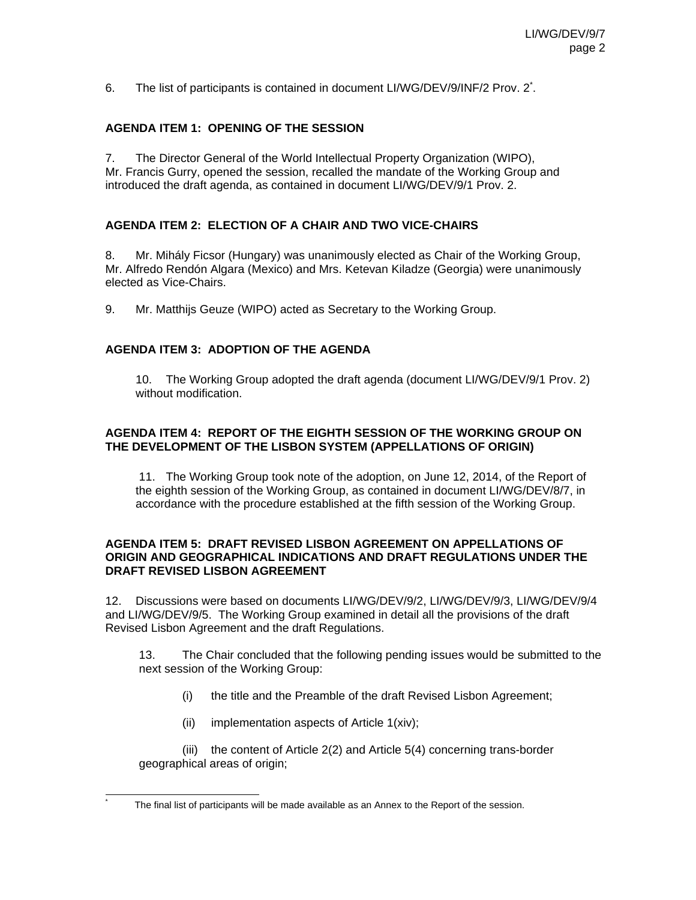6. The list of participants is contained in document LI/WG/DEV/9/INF/2 Prov. 2<sup>\*</sup>.

## **AGENDA ITEM 1: OPENING OF THE SESSION**

7. The Director General of the World Intellectual Property Organization (WIPO), Mr. Francis Gurry, opened the session, recalled the mandate of the Working Group and introduced the draft agenda, as contained in document LI/WG/DEV/9/1 Prov. 2.

#### **AGENDA ITEM 2: ELECTION OF A CHAIR AND TWO VICE-CHAIRS**

8. Mr. Mihály Ficsor (Hungary) was unanimously elected as Chair of the Working Group, Mr. Alfredo Rendón Algara (Mexico) and Mrs. Ketevan Kiladze (Georgia) were unanimously elected as Vice-Chairs.

9. Mr. Matthijs Geuze (WIPO) acted as Secretary to the Working Group.

#### **AGENDA ITEM 3: ADOPTION OF THE AGENDA**

10. The Working Group adopted the draft agenda (document LI/WG/DEV/9/1 Prov. 2) without modification.

#### **AGENDA ITEM 4: REPORT OF THE EIGHTH SESSION OF THE WORKING GROUP ON THE DEVELOPMENT OF THE LISBON SYSTEM (APPELLATIONS OF ORIGIN)**

11. The Working Group took note of the adoption, on June 12, 2014, of the Report of the eighth session of the Working Group, as contained in document LI/WG/DEV/8/7, in accordance with the procedure established at the fifth session of the Working Group.

#### **AGENDA ITEM 5: DRAFT REVISED LISBON AGREEMENT ON APPELLATIONS OF ORIGIN AND GEOGRAPHICAL INDICATIONS AND DRAFT REGULATIONS UNDER THE DRAFT REVISED LISBON AGREEMENT**

12. Discussions were based on documents LI/WG/DEV/9/2, LI/WG/DEV/9/3, LI/WG/DEV/9/4 and LI/WG/DEV/9/5. The Working Group examined in detail all the provisions of the draft Revised Lisbon Agreement and the draft Regulations.

 13. The Chair concluded that the following pending issues would be submitted to the next session of the Working Group:

- (i) the title and the Preamble of the draft Revised Lisbon Agreement;
- (ii) implementation aspects of Article 1(xiv);

l \*

(iii) the content of Article 2(2) and Article 5(4) concerning trans-border geographical areas of origin;

The final list of participants will be made available as an Annex to the Report of the session.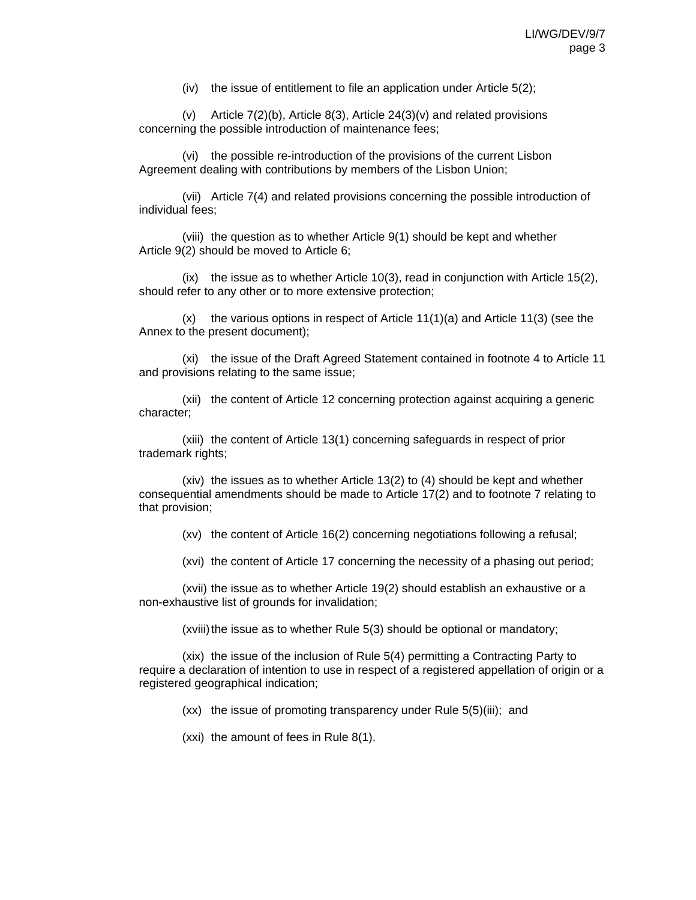(iv) the issue of entitlement to file an application under Article 5(2);

(v) Article 7(2)(b), Article 8(3), Article 24(3)(v) and related provisions concerning the possible introduction of maintenance fees;

(vi) the possible re-introduction of the provisions of the current Lisbon Agreement dealing with contributions by members of the Lisbon Union;

(vii) Article 7(4) and related provisions concerning the possible introduction of individual fees;

(viii) the question as to whether Article 9(1) should be kept and whether Article 9(2) should be moved to Article 6;

 $(ix)$  the issue as to whether Article 10(3), read in conjunction with Article 15(2), should refer to any other or to more extensive protection;

 $(x)$  the various options in respect of Article 11(1)(a) and Article 11(3) (see the Annex to the present document);

(xi) the issue of the Draft Agreed Statement contained in footnote 4 to Article 11 and provisions relating to the same issue;

(xii) the content of Article 12 concerning protection against acquiring a generic character;

(xiii) the content of Article 13(1) concerning safeguards in respect of prior trademark rights;

(xiv) the issues as to whether Article 13(2) to (4) should be kept and whether consequential amendments should be made to Article 17(2) and to footnote 7 relating to that provision;

(xv) the content of Article 16(2) concerning negotiations following a refusal;

(xvi) the content of Article 17 concerning the necessity of a phasing out period;

(xvii) the issue as to whether Article 19(2) should establish an exhaustive or a non-exhaustive list of grounds for invalidation;

(xviii) the issue as to whether Rule 5(3) should be optional or mandatory;

(xix) the issue of the inclusion of Rule 5(4) permitting a Contracting Party to require a declaration of intention to use in respect of a registered appellation of origin or a registered geographical indication;

(xx) the issue of promoting transparency under Rule 5(5)(iii); and

(xxi) the amount of fees in Rule 8(1).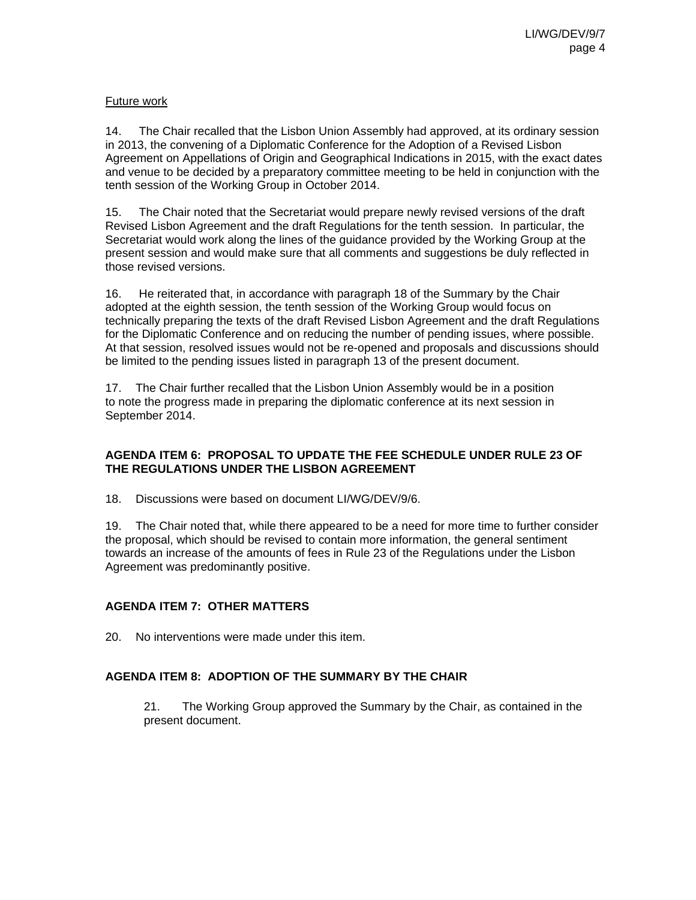## Future work

14. The Chair recalled that the Lisbon Union Assembly had approved, at its ordinary session in 2013, the convening of a Diplomatic Conference for the Adoption of a Revised Lisbon Agreement on Appellations of Origin and Geographical Indications in 2015, with the exact dates and venue to be decided by a preparatory committee meeting to be held in conjunction with the tenth session of the Working Group in October 2014.

15. The Chair noted that the Secretariat would prepare newly revised versions of the draft Revised Lisbon Agreement and the draft Regulations for the tenth session. In particular, the Secretariat would work along the lines of the guidance provided by the Working Group at the present session and would make sure that all comments and suggestions be duly reflected in those revised versions.

16. He reiterated that, in accordance with paragraph 18 of the Summary by the Chair adopted at the eighth session, the tenth session of the Working Group would focus on technically preparing the texts of the draft Revised Lisbon Agreement and the draft Regulations for the Diplomatic Conference and on reducing the number of pending issues, where possible. At that session, resolved issues would not be re-opened and proposals and discussions should be limited to the pending issues listed in paragraph 13 of the present document.

17. The Chair further recalled that the Lisbon Union Assembly would be in a position to note the progress made in preparing the diplomatic conference at its next session in September 2014.

## **AGENDA ITEM 6: PROPOSAL TO UPDATE THE FEE SCHEDULE UNDER RULE 23 OF THE REGULATIONS UNDER THE LISBON AGREEMENT**

18. Discussions were based on document LI/WG/DEV/9/6.

19. The Chair noted that, while there appeared to be a need for more time to further consider the proposal, which should be revised to contain more information, the general sentiment towards an increase of the amounts of fees in Rule 23 of the Regulations under the Lisbon Agreement was predominantly positive.

# **AGENDA ITEM 7: OTHER MATTERS**

20. No interventions were made under this item.

#### **AGENDA ITEM 8: ADOPTION OF THE SUMMARY BY THE CHAIR**

21. The Working Group approved the Summary by the Chair, as contained in the present document.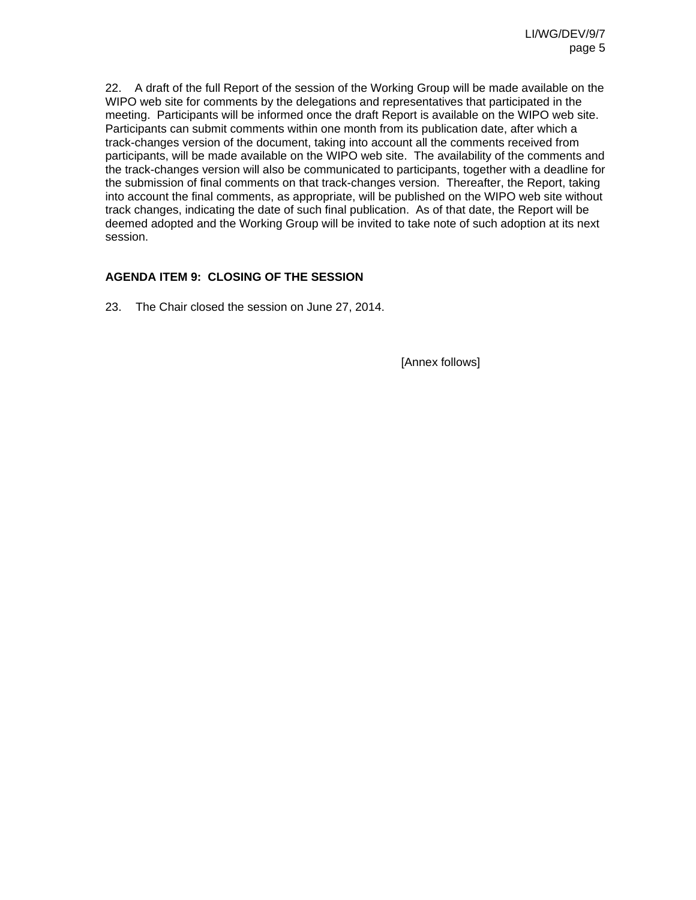22. A draft of the full Report of the session of the Working Group will be made available on the WIPO web site for comments by the delegations and representatives that participated in the meeting. Participants will be informed once the draft Report is available on the WIPO web site. Participants can submit comments within one month from its publication date, after which a track-changes version of the document, taking into account all the comments received from participants, will be made available on the WIPO web site. The availability of the comments and the track-changes version will also be communicated to participants, together with a deadline for the submission of final comments on that track-changes version. Thereafter, the Report, taking into account the final comments, as appropriate, will be published on the WIPO web site without track changes, indicating the date of such final publication. As of that date, the Report will be deemed adopted and the Working Group will be invited to take note of such adoption at its next session.

# **AGENDA ITEM 9: CLOSING OF THE SESSION**

23. The Chair closed the session on June 27, 2014.

[Annex follows]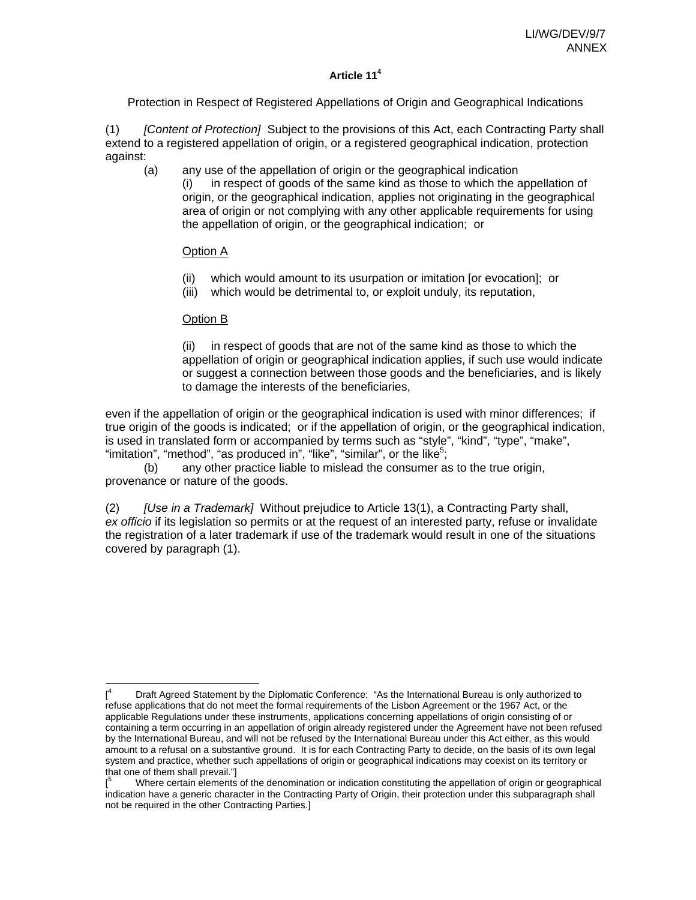# **Article 114**

Protection in Respect of Registered Appellations of Origin and Geographical Indications

(1) *[Content of Protection]* Subject to the provisions of this Act, each Contracting Party shall extend to a registered appellation of origin, or a registered geographical indication, protection against:

(a) any use of the appellation of origin or the geographical indication (i) in respect of goods of the same kind as those to which the appellation of origin, or the geographical indication, applies not originating in the geographical area of origin or not complying with any other applicable requirements for using the appellation of origin, or the geographical indication; or

#### Option A

- (ii) which would amount to its usurpation or imitation [or evocation]; or
- (iii) which would be detrimental to, or exploit unduly, its reputation,

#### Option B

 $\overline{a}$ 

(ii) in respect of goods that are not of the same kind as those to which the appellation of origin or geographical indication applies, if such use would indicate or suggest a connection between those goods and the beneficiaries, and is likely to damage the interests of the beneficiaries,

even if the appellation of origin or the geographical indication is used with minor differences; if true origin of the goods is indicated; or if the appellation of origin, or the geographical indication, is used in translated form or accompanied by terms such as "style", "kind", "type", "make", "imitation", "method", "as produced in", "like", "similar", or the like<sup>5</sup>;

 (b) any other practice liable to mislead the consumer as to the true origin, provenance or nature of the goods.

(2) *[Use in a Trademark]* Without prejudice to Article 13(1), a Contracting Party shall, *ex officio* if its legislation so permits or at the request of an interested party, refuse or invalidate the registration of a later trademark if use of the trademark would result in one of the situations covered by paragraph (1).

 $[$ <sup>4</sup> Draft Agreed Statement by the Diplomatic Conference: "As the International Bureau is only authorized to refuse applications that do not meet the formal requirements of the Lisbon Agreement or the 1967 Act, or the applicable Regulations under these instruments, applications concerning appellations of origin consisting of or containing a term occurring in an appellation of origin already registered under the Agreement have not been refused by the International Bureau, and will not be refused by the International Bureau under this Act either, as this would amount to a refusal on a substantive ground. It is for each Contracting Party to decide, on the basis of its own legal system and practice, whether such appellations of origin or geographical indications may coexist on its territory or that one of them shall prevail."]

<sup>[</sup> 5 Where certain elements of the denomination or indication constituting the appellation of origin or geographical indication have a generic character in the Contracting Party of Origin, their protection under this subparagraph shall not be required in the other Contracting Parties.]